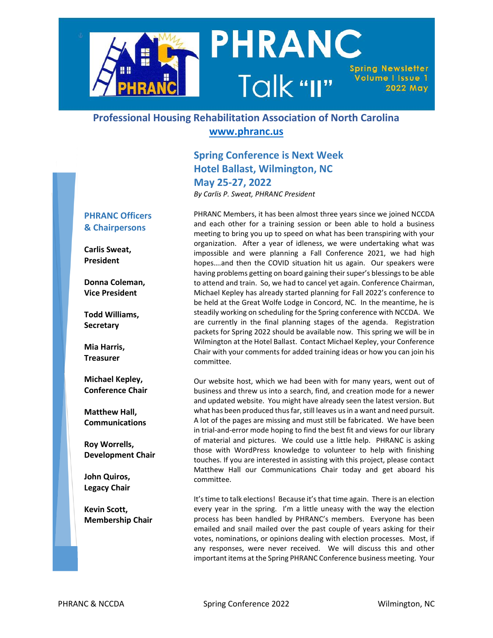

### **Professional Housing Rehabilitation Association of North Carolina [www.phranc.us](http://www.phranc.us/)**

#### **Spring Conference is Next Week Hotel Ballast, Wilmington, NC May 25-27, 2022** *By Carlis P. Sweat, PHRANC President*

#### **PHRANC Officers & Chairpersons**

**Carlis Sweat, President**

**Donna Coleman, Vice President**

**Todd Williams, Secretary**

**Mia Harris, Treasurer**

**Michael Kepley, Conference Chair**

**Matthew Hall, Communications**

**Roy Worrells, Development Chair**

**John Quiros, Legacy Chair**

**Kevin Scott, Membership Chair** PHRANC Members, it has been almost three years since we joined NCCDA and each other for a training session or been able to hold a business meeting to bring you up to speed on what has been transpiring with your organization. After a year of idleness, we were undertaking what was impossible and were planning a Fall Conference 2021, we had high hopes….and then the COVID situation hit us again. Our speakers were having problems getting on board gaining their super's blessings to be able to attend and train. So, we had to cancel yet again. Conference Chairman, Michael Kepley has already started planning for Fall 2022's conference to be held at the Great Wolfe Lodge in Concord, NC. In the meantime, he is steadily working on scheduling for the Spring conference with NCCDA. We are currently in the final planning stages of the agenda. Registration packets for Spring 2022 should be available now. This spring we will be in Wilmington at the Hotel Ballast. Contact Michael Kepley, your Conference Chair with your comments for added training ideas or how you can join his committee.

Our website host, which we had been with for many years, went out of business and threw us into a search, find, and creation mode for a newer and updated website. You might have already seen the latest version. But what has been produced thus far, still leaves us in a want and need pursuit. A lot of the pages are missing and must still be fabricated. We have been in trial-and-error mode hoping to find the best fit and views for our library of material and pictures. We could use a little help. PHRANC is asking those with WordPress knowledge to volunteer to help with finishing touches. If you are interested in assisting with this project, please contact Matthew Hall our Communications Chair today and get aboard his committee.

It's time to talk elections! Because it's that time again. There is an election every year in the spring. I'm a little uneasy with the way the election process has been handled by PHRANC's members. Everyone has been emailed and snail mailed over the past couple of years asking for their votes, nominations, or opinions dealing with election processes. Most, if any responses, were never received. We will discuss this and other important items at the Spring PHRANC Conference business meeting. Your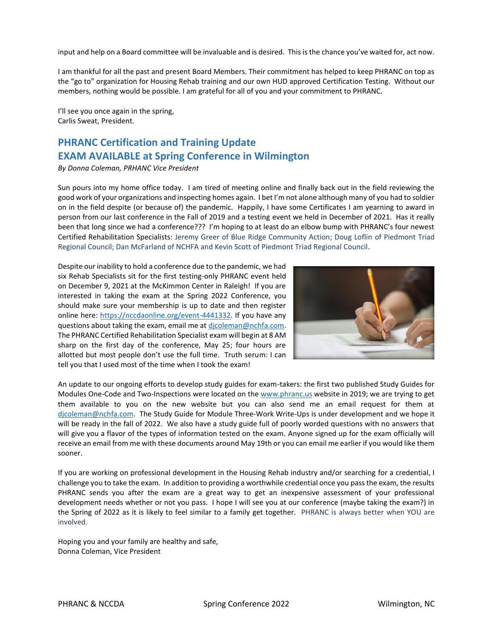input and help on a Board committee will be invaluable and is desired. This is the chance you've waited for, act now.

I am thankful for all the past and present Board Members. Their commitment has helped to keep PHRANC on top as the "go to" organization for Housing Rehab training and our own HUD approved Certification Testing. Without our members, nothing would be possible. I am grateful for all of you and your commitment to PHRANC.

I'll see you once again in the spring, Carlis Sweat, President.

## **PHRANC Certification and Training Update EXAM AVAILABLE at Spring Conference in Wilmington**

*By Donna Coleman, PRHANC Vice President*

Sun pours into my home office today. I am tired of meeting online and finally back out in the field reviewing the good work of your organizations and inspecting homes again. I bet I'm not alone although many of you had to soldier on in the field despite (or because of) the pandemic. Happily, I have some Certificates I am yearning to award in person from our last conference in the Fall of 2019 and a testing event we held in December of 2021. Has it really been that long since we had a conference??? I'm hoping to at least do an elbow bump with PHRANC's four newest Certified Rehabilitation Specialists: Jeremy Greer of Blue Ridge Community Action; Doug Loflin of Piedmont Triad Regional Council; Dan McFarland of NCHFA and Kevin Scott of Piedmont Triad Regional Council.

Despite our inability to hold a conference due to the pandemic, we had six Rehab Specialists sit for the first testing-only PHRANC event held on December 9, 2021 at the McKimmon Center in Raleigh! If you are interested in taking the exam at the Spring 2022 Conference, you should make sure your membership is up to date and then register online here: [https://nccdaonline.org/event-4441332.](https://nccdaonline.org/event-4441332) If you have any questions about taking the exam, email me at [djcoleman@nchfa.com.](mailto:djcoleman@nchfa.com) The PHRANC Certified Rehabilitation Specialist exam will begin at 8 AM sharp on the first day of the conference, May 25; four hours are allotted but most people don't use the full time. Truth serum: I can tell you that I used most of the time when I took the exam!



An update to our ongoing efforts to develop study guides for exam-takers: the first two published Study Guides for Modules One-Code and Two-Inspections were located on the [www.phranc.us](http://www.phranc.us/) website in 2019; we are trying to get them available to you on the new website but you can also send me an email request for them at [djcoleman@nchfa.com.](mailto:djcoleman@nchfa.com) The Study Guide for Module Three-Work Write-Ups is under development and we hope it will be ready in the fall of 2022. We also have a study guide full of poorly worded questions with no answers that will give you a flavor of the types of information tested on the exam. Anyone signed up for the exam officially will receive an email from me with these documents around May 19th or you can email me earlier if you would like them sooner.

If you are working on professional development in the Housing Rehab industry and/or searching for a credential, I challenge you to take the exam. In addition to providing a worthwhile credential once you pass the exam, the results PHRANC sends you after the exam are a great way to get an inexpensive assessment of your professional development needs whether or not you pass. I hope I will see you at our conference (maybe taking the exam?) in the Spring of 2022 as it is likely to feel similar to a family get together. PHRANC is always better when YOU are involved.

Hoping you and your family are healthy and safe, Donna Coleman, Vice President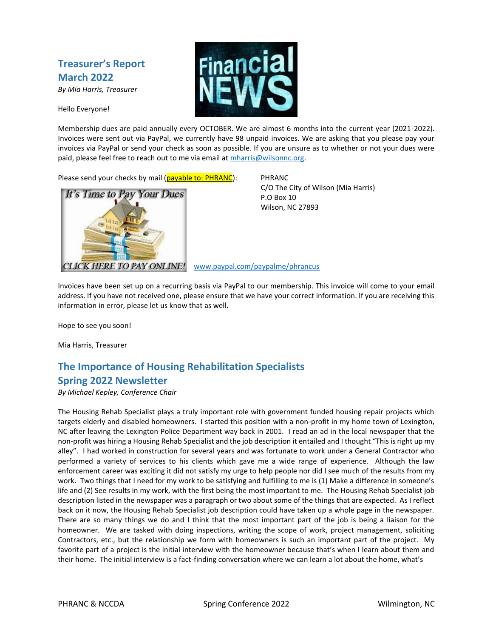## **Treasurer's Report March 2022**

*By Mia Harris, Treasurer*

Hello Everyone!



Membership dues are paid annually every OCTOBER. We are almost 6 months into the current year (2021-2022). Invoices were sent out via PayPal, we currently have 98 unpaid invoices. We are asking that you please pay your invoices via PayPal or send your check as soon as possible. If you are unsure as to whether or not your dues were paid, please feel free to reach out to me via email at [mharris@wilsonnc.org.](mailto:mharris@wilsonnc.org)

Please send your checks by mail (payable to: PHRANC): PHRANC



C/O The City of Wilson (Mia Harris) P.O Box 10 Wilson, NC 27893

CLICK HERE TO PAY ONLINE! [www.paypal.com/paypalme/phrancus](http://www.paypal.com/paypalme/phrancus)

Invoices have been set up on a recurring basis via PayPal to our membership. This invoice will come to your email address. If you have not received one, please ensure that we have your correct information. If you are receiving this information in error, please let us know that as well.

Hope to see you soon!

Mia Harris, Treasurer

#### **The Importance of Housing Rehabilitation Specialists Spring 2022 Newsletter**

*By Michael Kepley, Conference Chair*

The Housing Rehab Specialist plays a truly important role with government funded housing repair projects which targets elderly and disabled homeowners. I started this position with a non-profit in my home town of Lexington, NC after leaving the Lexington Police Department way back in 2001. I read an ad in the local newspaper that the non-profit was hiring a Housing Rehab Specialist and the job description it entailed and I thought "This is right up my alley". I had worked in construction for several years and was fortunate to work under a General Contractor who performed a variety of services to his clients which gave me a wide range of experience. Although the law enforcement career was exciting it did not satisfy my urge to help people nor did I see much of the results from my work. Two things that I need for my work to be satisfying and fulfilling to me is (1) Make a difference in someone's life and (2) See results in my work, with the first being the most important to me. The Housing Rehab Specialist job description listed in the newspaper was a paragraph or two about some of the things that are expected. As I reflect back on it now, the Housing Rehab Specialist job description could have taken up a whole page in the newspaper. There are so many things we do and I think that the most important part of the job is being a liaison for the homeowner. We are tasked with doing inspections, writing the scope of work, project management, soliciting Contractors, etc., but the relationship we form with homeowners is such an important part of the project. My favorite part of a project is the initial interview with the homeowner because that's when I learn about them and their home. The initial interview is a fact-finding conversation where we can learn a lot about the home, what's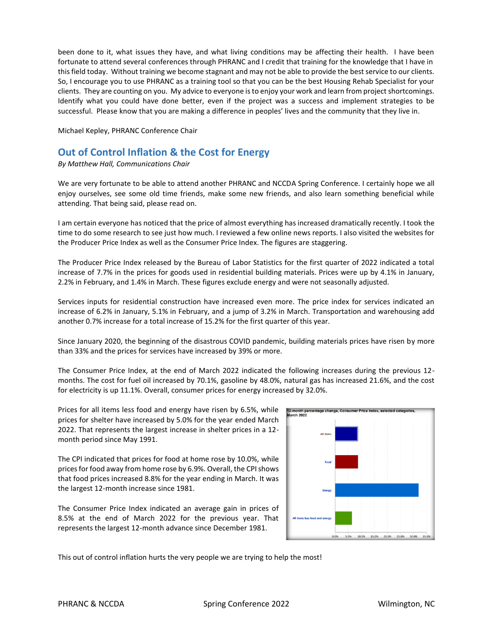been done to it, what issues they have, and what living conditions may be affecting their health. I have been fortunate to attend several conferences through PHRANC and I credit that training for the knowledge that I have in this field today. Without training we become stagnant and may not be able to provide the best service to our clients. So, I encourage you to use PHRANC as a training tool so that you can be the best Housing Rehab Specialist for your clients. They are counting on you. My advice to everyone is to enjoy your work and learn from project shortcomings. Identify what you could have done better, even if the project was a success and implement strategies to be successful. Please know that you are making a difference in peoples' lives and the community that they live in.

Michael Kepley, PHRANC Conference Chair

#### **Out of Control Inflation & the Cost for Energy**

*By Matthew Hall, Communications Chair*

We are very fortunate to be able to attend another PHRANC and NCCDA Spring Conference. I certainly hope we all enjoy ourselves, see some old time friends, make some new friends, and also learn something beneficial while attending. That being said, please read on.

I am certain everyone has noticed that the price of almost everything has increased dramatically recently. I took the time to do some research to see just how much. I reviewed a few online news reports. I also visited the websites for the Producer Price Index as well as the Consumer Price Index. The figures are staggering.

The Producer Price Index released by the Bureau of Labor Statistics for the first quarter of 2022 indicated a total increase of 7.7% in the prices for goods used in residential building materials. Prices were up by 4.1% in January, 2.2% in February, and 1.4% in March. These figures exclude energy and were not seasonally adjusted.

Services inputs for residential construction have increased even more. The price index for services indicated an increase of 6.2% in January, 5.1% in February, and a jump of 3.2% in March. Transportation and warehousing add another 0.7% increase for a total increase of 15.2% for the first quarter of this year.

Since January 2020, the beginning of the disastrous COVID pandemic, building materials prices have risen by more than 33% and the prices for services have increased by 39% or more.

The Consumer Price Index, at the end of March 2022 indicated the following increases during the previous 12 months. The cost for fuel oil increased by 70.1%, gasoline by 48.0%, natural gas has increased 21.6%, and the cost for electricity is up 11.1%. Overall, consumer prices for energy increased by 32.0%.

Prices for all items less food and energy have risen by 6.5%, while prices for shelter have increased by 5.0% for the year ended March 2022. That represents the largest increase in shelter prices in a 12 month period since May 1991.

The CPI indicated that prices for food at home rose by 10.0%, while prices for food away from home rose by 6.9%. Overall, the CPI shows that food prices increased 8.8% for the year ending in March. It was the largest 12-month increase since 1981.

The Consumer Price Index indicated an average gain in prices of 8.5% at the end of March 2022 for the previous year. That represents the largest 12-month advance since December 1981.



This out of control inflation hurts the very people we are trying to help the most!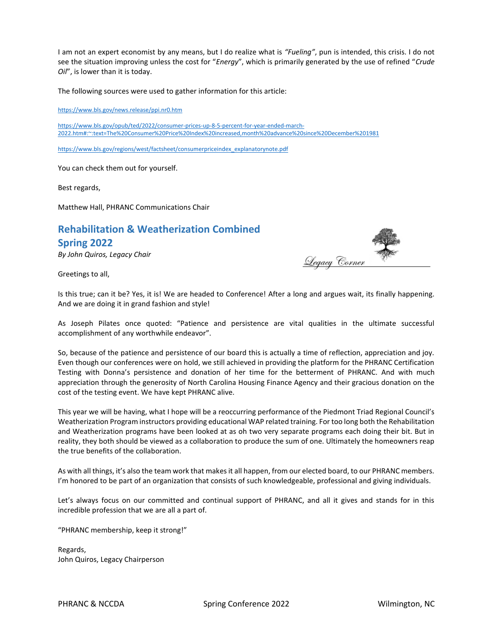I am not an expert economist by any means, but I do realize what is *"Fueling"*, pun is intended, this crisis. I do not see the situation improving unless the cost for "*Energy*", which is primarily generated by the use of refined "*Crude Oil*", is lower than it is today.

The following sources were used to gather information for this article:

<https://www.bls.gov/news.release/ppi.nr0.htm>

[https://www.bls.gov/opub/ted/2022/consumer-prices-up-8-5-percent-for-year-ended-march-](https://www.bls.gov/opub/ted/2022/consumer-prices-up-8-5-percent-for-year-ended-march-2022.htm#:~:text=The%20Consumer%20Price%20Index%20increased,month%20advance%20since%20December%201981)[2022.htm#:~:text=The%20Consumer%20Price%20Index%20increased,month%20advance%20since%20December%201981](https://www.bls.gov/opub/ted/2022/consumer-prices-up-8-5-percent-for-year-ended-march-2022.htm#:~:text=The%20Consumer%20Price%20Index%20increased,month%20advance%20since%20December%201981)

[https://www.bls.gov/regions/west/factsheet/consumerpriceindex\\_explanatorynote.pdf](https://www.bls.gov/regions/west/factsheet/consumerpriceindex_explanatorynote.pdf)

You can check them out for yourself.

Best regards,

Matthew Hall, PHRANC Communications Chair

# **Rehabilitation & Weatherization Combined**

#### **Spring 2022**

*By John Quiros, Legacy Chair*

Greetings to all,



<u>Legacy Corner</u>

As Joseph Pilates once quoted: "Patience and persistence are vital qualities in the ultimate successful accomplishment of any worthwhile endeavor".

So, because of the patience and persistence of our board this is actually a time of reflection, appreciation and joy. Even though our conferences were on hold, we still achieved in providing the platform for the PHRANC Certification Testing with Donna's persistence and donation of her time for the betterment of PHRANC. And with much appreciation through the generosity of North Carolina Housing Finance Agency and their gracious donation on the cost of the testing event. We have kept PHRANC alive.

This year we will be having, what I hope will be a reoccurring performance of the Piedmont Triad Regional Council's Weatherization Program instructors providing educational WAP related training. For too long both the Rehabilitation and Weatherization programs have been looked at as oh two very separate programs each doing their bit. But in reality, they both should be viewed as a collaboration to produce the sum of one. Ultimately the homeowners reap the true benefits of the collaboration.

As with all things, it's also the team work that makes it all happen, from our elected board, to our PHRANC members. I'm honored to be part of an organization that consists of such knowledgeable, professional and giving individuals.

Let's always focus on our committed and continual support of PHRANC, and all it gives and stands for in this incredible profession that we are all a part of.

"PHRANC membership, keep it strong!"

Regards, John Quiros, Legacy Chairperson